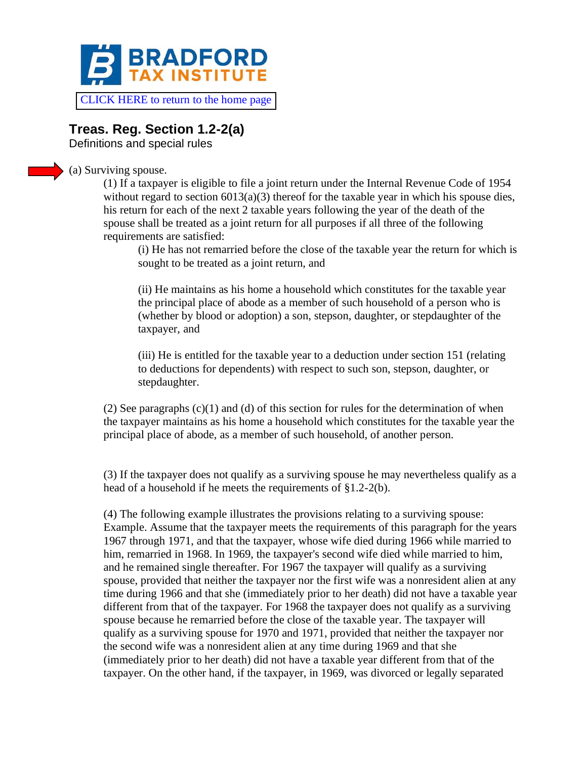

[CLICK HERE to return to the home page](https://www.bradfordtaxinstitute.com)

## **Treas. Reg. Section 1.2-2(a)**

Definitions and special rules

## (a) Surviving spouse.

(1) If a taxpayer is eligible to file a joint return under the Internal Revenue Code of 1954 without regard to section  $6013(a)(3)$  thereof for the taxable year in which his spouse dies, his return for each of the next 2 taxable years following the year of the death of the spouse shall be treated as a joint return for all purposes if all three of the following requirements are satisfied:

(i) He has not remarried before the close of the taxable year the return for which is sought to be treated as a joint return, and

(ii) He maintains as his home a household which constitutes for the taxable year the principal place of abode as a member of such household of a person who is (whether by blood or adoption) a son, stepson, daughter, or stepdaughter of the taxpayer, and

(iii) He is entitled for the taxable year to a deduction under section 151 (relating to deductions for dependents) with respect to such son, stepson, daughter, or stepdaughter.

(2) See paragraphs (c)(1) and (d) of this section for rules for the determination of when the taxpayer maintains as his home a household which constitutes for the taxable year the principal place of abode, as a member of such household, of another person.

(3) If the taxpayer does not qualify as a surviving spouse he may nevertheless qualify as a head of a household if he meets the requirements of §1.2-2(b).

(4) The following example illustrates the provisions relating to a surviving spouse: Example. Assume that the taxpayer meets the requirements of this paragraph for the years 1967 through 1971, and that the taxpayer, whose wife died during 1966 while married to him, remarried in 1968. In 1969, the taxpayer's second wife died while married to him, and he remained single thereafter. For 1967 the taxpayer will qualify as a surviving spouse, provided that neither the taxpayer nor the first wife was a nonresident alien at any time during 1966 and that she (immediately prior to her death) did not have a taxable year different from that of the taxpayer. For 1968 the taxpayer does not qualify as a surviving spouse because he remarried before the close of the taxable year. The taxpayer will qualify as a surviving spouse for 1970 and 1971, provided that neither the taxpayer nor the second wife was a nonresident alien at any time during 1969 and that she (immediately prior to her death) did not have a taxable year different from that of the taxpayer. On the other hand, if the taxpayer, in 1969, was divorced or legally separated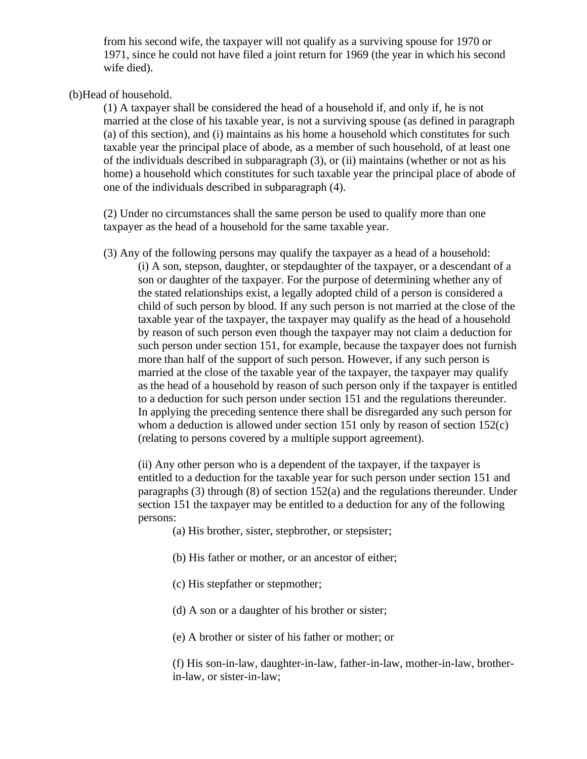from his second wife, the taxpayer will not qualify as a surviving spouse for 1970 or 1971, since he could not have filed a joint return for 1969 (the year in which his second wife died).

## (b)Head of household.

(1) A taxpayer shall be considered the head of a household if, and only if, he is not married at the close of his taxable year, is not a surviving spouse (as defined in paragraph (a) of this section), and (i) maintains as his home a household which constitutes for such taxable year the principal place of abode, as a member of such household, of at least one of the individuals described in subparagraph (3), or (ii) maintains (whether or not as his home) a household which constitutes for such taxable year the principal place of abode of one of the individuals described in subparagraph (4).

(2) Under no circumstances shall the same person be used to qualify more than one taxpayer as the head of a household for the same taxable year.

(3) Any of the following persons may qualify the taxpayer as a head of a household: (i) A son, stepson, daughter, or stepdaughter of the taxpayer, or a descendant of a son or daughter of the taxpayer. For the purpose of determining whether any of the stated relationships exist, a legally adopted child of a person is considered a child of such person by blood. If any such person is not married at the close of the taxable year of the taxpayer, the taxpayer may qualify as the head of a household by reason of such person even though the taxpayer may not claim a deduction for such person under section 151, for example, because the taxpayer does not furnish more than half of the support of such person. However, if any such person is married at the close of the taxable year of the taxpayer, the taxpayer may qualify as the head of a household by reason of such person only if the taxpayer is entitled to a deduction for such person under section 151 and the regulations thereunder. In applying the preceding sentence there shall be disregarded any such person for whom a deduction is allowed under section 151 only by reason of section 152(c) (relating to persons covered by a multiple support agreement).

(ii) Any other person who is a dependent of the taxpayer, if the taxpayer is entitled to a deduction for the taxable year for such person under section 151 and paragraphs (3) through (8) of section 152(a) and the regulations thereunder. Under section 151 the taxpayer may be entitled to a deduction for any of the following persons:

(a) His brother, sister, stepbrother, or stepsister;

- (b) His father or mother, or an ancestor of either;
- (c) His stepfather or stepmother;
- (d) A son or a daughter of his brother or sister;
- (e) A brother or sister of his father or mother; or

(f) His son-in-law, daughter-in-law, father-in-law, mother-in-law, brotherin-law, or sister-in-law;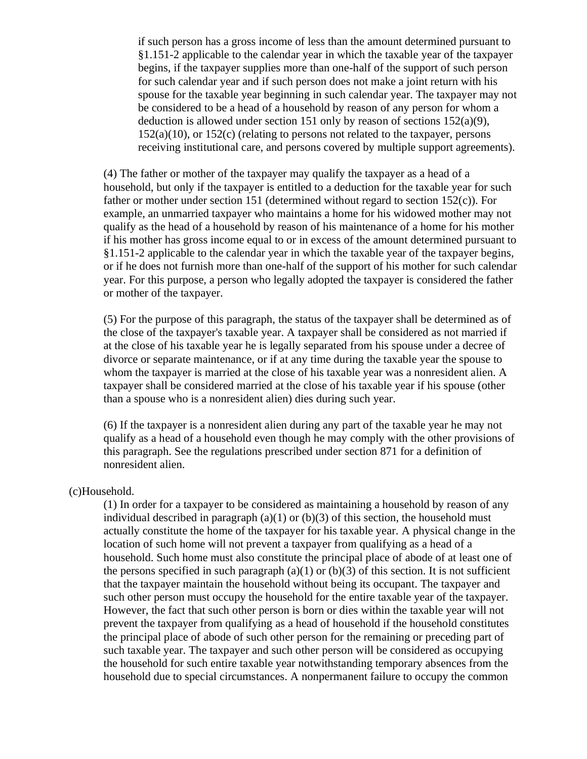if such person has a gross income of less than the amount determined pursuant to §1.151-2 applicable to the calendar year in which the taxable year of the taxpayer begins, if the taxpayer supplies more than one-half of the support of such person for such calendar year and if such person does not make a joint return with his spouse for the taxable year beginning in such calendar year. The taxpayer may not be considered to be a head of a household by reason of any person for whom a deduction is allowed under section 151 only by reason of sections  $152(a)(9)$ , 152(a)(10), or 152(c) (relating to persons not related to the taxpayer, persons receiving institutional care, and persons covered by multiple support agreements).

(4) The father or mother of the taxpayer may qualify the taxpayer as a head of a household, but only if the taxpayer is entitled to a deduction for the taxable year for such father or mother under section 151 (determined without regard to section 152(c)). For example, an unmarried taxpayer who maintains a home for his widowed mother may not qualify as the head of a household by reason of his maintenance of a home for his mother if his mother has gross income equal to or in excess of the amount determined pursuant to §1.151-2 applicable to the calendar year in which the taxable year of the taxpayer begins, or if he does not furnish more than one-half of the support of his mother for such calendar year. For this purpose, a person who legally adopted the taxpayer is considered the father or mother of the taxpayer.

(5) For the purpose of this paragraph, the status of the taxpayer shall be determined as of the close of the taxpayer's taxable year. A taxpayer shall be considered as not married if at the close of his taxable year he is legally separated from his spouse under a decree of divorce or separate maintenance, or if at any time during the taxable year the spouse to whom the taxpayer is married at the close of his taxable year was a nonresident alien. A taxpayer shall be considered married at the close of his taxable year if his spouse (other than a spouse who is a nonresident alien) dies during such year.

(6) If the taxpayer is a nonresident alien during any part of the taxable year he may not qualify as a head of a household even though he may comply with the other provisions of this paragraph. See the regulations prescribed under section 871 for a definition of nonresident alien.

## (c)Household.

(1) In order for a taxpayer to be considered as maintaining a household by reason of any individual described in paragraph  $(a)(1)$  or  $(b)(3)$  of this section, the household must actually constitute the home of the taxpayer for his taxable year. A physical change in the location of such home will not prevent a taxpayer from qualifying as a head of a household. Such home must also constitute the principal place of abode of at least one of the persons specified in such paragraph (a)(1) or (b)(3) of this section. It is not sufficient that the taxpayer maintain the household without being its occupant. The taxpayer and such other person must occupy the household for the entire taxable year of the taxpayer. However, the fact that such other person is born or dies within the taxable year will not prevent the taxpayer from qualifying as a head of household if the household constitutes the principal place of abode of such other person for the remaining or preceding part of such taxable year. The taxpayer and such other person will be considered as occupying the household for such entire taxable year notwithstanding temporary absences from the household due to special circumstances. A nonpermanent failure to occupy the common